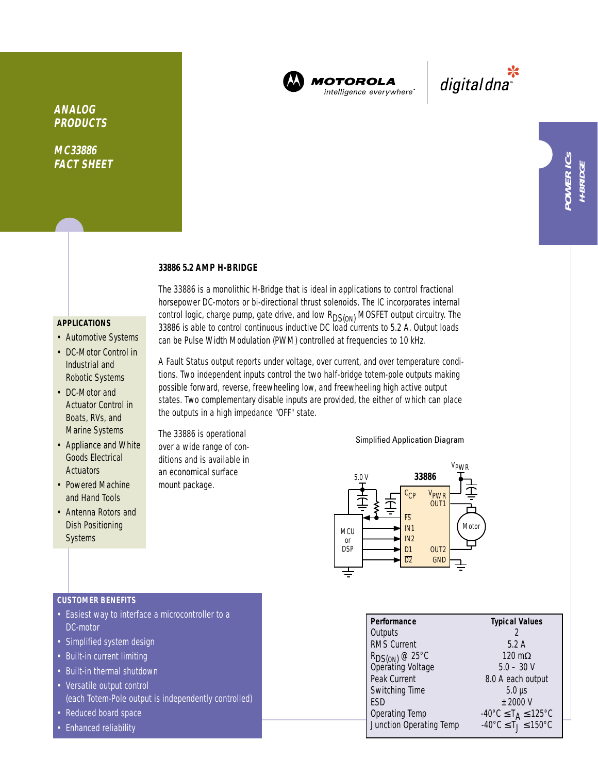

**MOTOROLA** intelligence everywhere

\*<br>"digital dna

# **MC33886**

**FACT SHEET**

**ANALOG PRODUCTS**

## **33886 5.2 AMP H-BRIDGE**

#### **APPLICATIONS**

- Automotive Systems
- DC-Motor Control in Industrial and Robotic Systems
- DC-Motor and Actuator Control in Boats, RVs, and Marine Systems
- Appliance and White Goods Electrical **Actuators**
- Powered Machine and Hand Tools
- Antenna Rotors and Dish Positioning **Systems**

The 33886 is a monolithic H-Bridge that is ideal in applications to control fractional horsepower DC-motors or bi-directional thrust solenoids. The IC incorporates internal control logic, charge pump, gate drive, and low R<sub>DS(ON)</sub> MOSFET output circuitry. The 33886 is able to control continuous inductive DC load currents to 5.2 A. Output loads can be Pulse Width Modulation (PWM) controlled at frequencies to 10 kHz.

A Fault Status output reports under voltage, over current, and over temperature conditions. Two independent inputs control the two half-bridge totem-pole outputs making possible forward, reverse, freewheeling low, and freewheeling high active output states. Two complementary disable inputs are provided, the either of which can place the outputs in a high impedance "OFF" state.

The 33886 is operational over a wide range of conditions and is available in an economical surface mount package.

#### Simplified Application Diagram



| <b>CUSTOMER BENEFITS</b> |  |  |
|--------------------------|--|--|
|                          |  |  |

- Easiest way to interface a microcontroller to a DC-motor
- Simplified system design
- Built-in current limiting
- Built-in thermal shutdown
- Versatile output control (each Totem-Pole output is independently controlled)
- Reduced board space
- Enhanced reliability

| Performance                                     | <b>Typical Values</b>                                            |
|-------------------------------------------------|------------------------------------------------------------------|
| Outputs                                         |                                                                  |
| <b>RMS Current</b>                              | 5.2A                                                             |
|                                                 | 120 m $\Omega$                                                   |
| R <sub>DS(ON)</sub> @ 25°C<br>Operating Voltage | $5.0 - 30 V$                                                     |
| Peak Current                                    | 8.0 A each output                                                |
| Switching Time                                  | $5.0 \,\mu s$                                                    |
| <b>FSD</b>                                      | $±$ 2000 V                                                       |
| Operating Temp                                  | -40°C ≤ T <sub>A</sub> ≤ 125°C<br>-40°C ≤ T <sub>J</sub> ≤ 150°C |
| Junction Operating Temp                         |                                                                  |